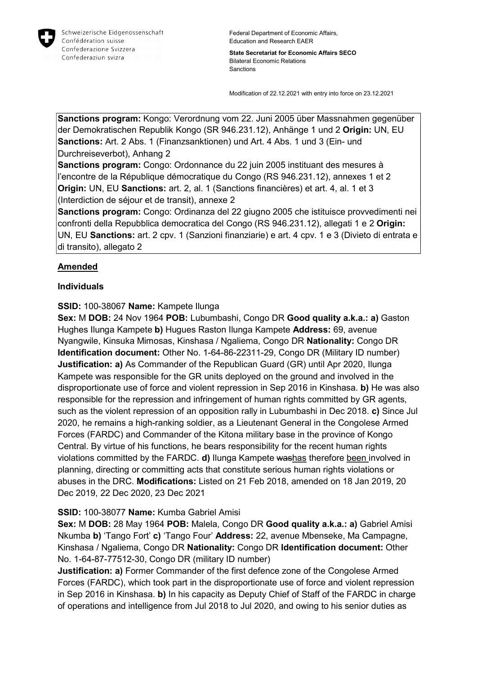

State Secretariat for Economic Affairs SECO Bilateral Economic Relations **Sanctions** 

Modification of 22.12.2021 with entry into force on 23.12.2021

Sanctions program: Kongo: Verordnung vom 22. Juni 2005 über Massnahmen gegenüber der Demokratischen Republik Kongo (SR 946.231.12), Anhänge 1 und 2 Origin: UN, EU Sanctions: Art. 2 Abs. 1 (Finanzsanktionen) und Art. 4 Abs. 1 und 3 (Ein- und Durchreiseverbot), Anhang 2

Sanctions program: Congo: Ordonnance du 22 juin 2005 instituant des mesures à l'encontre de la République démocratique du Congo (RS 946.231.12), annexes 1 et 2 Origin: UN, EU Sanctions: art. 2, al. 1 (Sanctions financières) et art. 4, al. 1 et 3 (Interdiction de séjour et de transit), annexe 2

Sanctions program: Congo: Ordinanza del 22 giugno 2005 che istituisce provvedimenti nei confronti della Repubblica democratica del Congo (RS 946.231.12), allegati 1 e 2 Origin: UN, EU Sanctions: art. 2 cpv. 1 (Sanzioni finanziarie) e art. 4 cpv. 1 e 3 (Divieto di entrata e di transito), allegato 2

# Amended

## Individuals

## SSID: 100-38067 Name: Kampete Ilunga

Sex: M DOB: 24 Nov 1964 POB: Lubumbashi, Congo DR Good quality a.k.a.: a) Gaston Hughes Ilunga Kampete b) Hugues Raston Ilunga Kampete Address: 69, avenue Nyangwile, Kinsuka Mimosas, Kinshasa / Ngaliema, Congo DR Nationality: Congo DR Identification document: Other No. 1-64-86-22311-29, Congo DR (Military ID number) **Justification: a)** As Commander of the Republican Guard (GR) until Apr 2020, Ilunga Kampete was responsible for the GR units deployed on the ground and involved in the disproportionate use of force and violent repression in Sep 2016 in Kinshasa. b) He was also responsible for the repression and infringement of human rights committed by GR agents, such as the violent repression of an opposition rally in Lubumbashi in Dec 2018. c) Since Jul 2020, he remains a high-ranking soldier, as a Lieutenant General in the Congolese Armed Forces (FARDC) and Commander of the Kitona military base in the province of Kongo Central. By virtue of his functions, he bears responsibility for the recent human rights violations committed by the FARDC. d) Ilunga Kampete washas therefore been involved in planning, directing or committing acts that constitute serious human rights violations or abuses in the DRC. Modifications: Listed on 21 Feb 2018, amended on 18 Jan 2019, 20 Dec 2019, 22 Dec 2020, 23 Dec 2021

### SSID: 100-38077 Name: Kumba Gabriel Amisi

Sex: M DOB: 28 May 1964 POB: Malela, Congo DR Good quality a.k.a.: a) Gabriel Amisi Nkumba b) 'Tango Fort' c) 'Tango Four' Address: 22, avenue Mbenseke, Ma Campagne, Kinshasa / Ngaliema, Congo DR Nationality: Congo DR Identification document: Other No. 1-64-87-77512-30, Congo DR (military ID number)

**Justification: a)** Former Commander of the first defence zone of the Congolese Armed Forces (FARDC), which took part in the disproportionate use of force and violent repression in Sep 2016 in Kinshasa. b) In his capacity as Deputy Chief of Staff of the FARDC in charge of operations and intelligence from Jul 2018 to Jul 2020, and owing to his senior duties as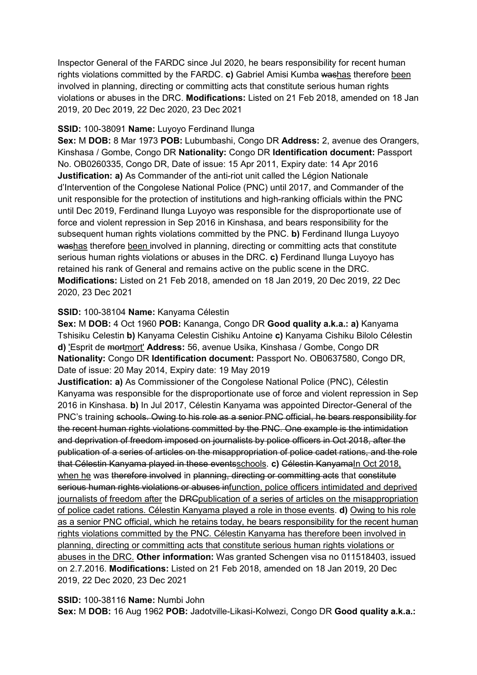Inspector General of the FARDC since Jul 2020, he bears responsibility for recent human rights violations committed by the FARDC. c) Gabriel Amisi Kumba washas therefore been involved in planning, directing or committing acts that constitute serious human rights violations or abuses in the DRC. Modifications: Listed on 21 Feb 2018, amended on 18 Jan 2019, 20 Dec 2019, 22 Dec 2020, 23 Dec 2021

#### SSID: 100-38091 Name: Luyoyo Ferdinand Ilunga

Sex: M DOB: 8 Mar 1973 POB: Lubumbashi, Congo DR Address: 2, avenue des Orangers, Kinshasa / Gombe, Congo DR Nationality: Congo DR Identification document: Passport No. OB0260335, Congo DR, Date of issue: 15 Apr 2011, Expiry date: 14 Apr 2016 Justification: a) As Commander of the anti-riot unit called the Légion Nationale d'Intervention of the Congolese National Police (PNC) until 2017, and Commander of the unit responsible for the protection of institutions and high-ranking officials within the PNC until Dec 2019, Ferdinand Ilunga Luyoyo was responsible for the disproportionate use of force and violent repression in Sep 2016 in Kinshasa, and bears responsibility for the subsequent human rights violations committed by the PNC. b) Ferdinand Ilunga Luyoyo washas therefore been involved in planning, directing or committing acts that constitute serious human rights violations or abuses in the DRC. c) Ferdinand Ilunga Luyoyo has retained his rank of General and remains active on the public scene in the DRC. Modifications: Listed on 21 Feb 2018, amended on 18 Jan 2019, 20 Dec 2019, 22 Dec 2020, 23 Dec 2021

### SSID: 100-38104 Name: Kanyama Célestin

Sex: M DOB: 4 Oct 1960 POB: Kananga, Congo DR Good quality a.k.a.: a) Kanyama Tshisiku Celestin b) Kanyama Celestin Cishiku Antoine c) Kanyama Cishiku Bilolo Célestin d) 'Esprit de mortmort' Address: 56, avenue Usika, Kinshasa / Gombe, Congo DR Nationality: Congo DR Identification document: Passport No. OB0637580, Congo DR, Date of issue: 20 May 2014, Expiry date: 19 May 2019

Justification: a) As Commissioner of the Congolese National Police (PNC), Célestin Kanyama was responsible for the disproportionate use of force and violent repression in Sep 2016 in Kinshasa. b) In Jul 2017, Célestin Kanyama was appointed Director-General of the PNC's training schools. Owing to his role as a senior PNC official, he bears responsibility for the recent human rights violations committed by the PNC. One example is the intimidation and deprivation of freedom imposed on journalists by police officers in Oct 2018, after the publication of a series of articles on the misappropriation of police cadet rations, and the role that Célestin Kanyama played in these eventsschools. c) Célestin KanyamaIn Oct 2018, when he was therefore involved in planning, directing or committing acts that constitute serious human rights violations or abuses infunction, police officers intimidated and deprived journalists of freedom after the DRC publication of a series of articles on the misappropriation of police cadet rations. Célestin Kanyama played a role in those events. d) Owing to his role as a senior PNC official, which he retains today, he bears responsibility for the recent human rights violations committed by the PNC. Célestin Kanyama has therefore been involved in planning, directing or committing acts that constitute serious human rights violations or abuses in the DRC. Other information: Was granted Schengen visa no 011518403, issued on 2.7.2016. Modifications: Listed on 21 Feb 2018, amended on 18 Jan 2019, 20 Dec 2019, 22 Dec 2020, 23 Dec 2021

#### SSID: 100-38116 Name: Numbi John

Sex: M DOB: 16 Aug 1962 POB: Jadotville-Likasi-Kolwezi, Congo DR Good quality a.k.a.: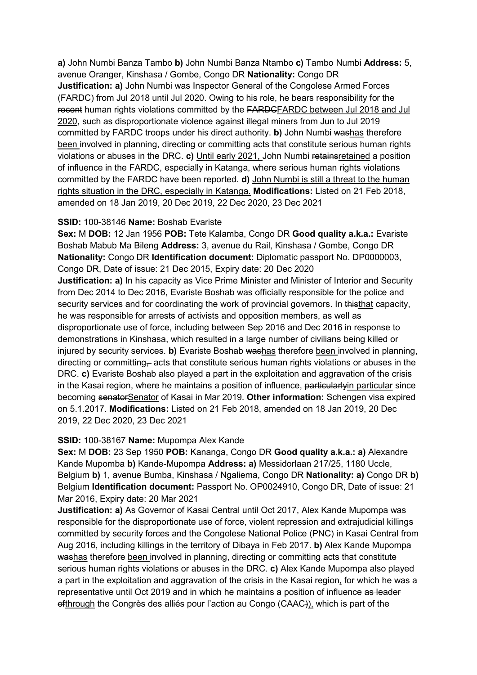a) John Numbi Banza Tambo b) John Numbi Banza Ntambo c) Tambo Numbi Address: 5, avenue Oranger, Kinshasa / Gombe, Congo DR Nationality: Congo DR **Justification: a)** John Numbi was Inspector General of the Congolese Armed Forces (FARDC) from Jul 2018 until Jul 2020. Owing to his role, he bears responsibility for the recent human rights violations committed by the FARDCFARDC between Jul 2018 and Jul 2020, such as disproportionate violence against illegal miners from Jun to Jul 2019 committed by FARDC troops under his direct authority. b) John Numbi washas therefore been involved in planning, directing or committing acts that constitute serious human rights violations or abuses in the DRC. c) Until early 2021, John Numbi retainsretained a position of influence in the FARDC, especially in Katanga, where serious human rights violations committed by the FARDC have been reported. d) John Numbi is still a threat to the human rights situation in the DRC, especially in Katanga. Modifications: Listed on 21 Feb 2018, amended on 18 Jan 2019, 20 Dec 2019, 22 Dec 2020, 23 Dec 2021

#### SSID: 100-38146 Name: Boshab Evariste

Sex: M DOB: 12 Jan 1956 POB: Tete Kalamba, Congo DR Good quality a.k.a.: Evariste Boshab Mabub Ma Bileng Address: 3, avenue du Rail, Kinshasa / Gombe, Congo DR Nationality: Congo DR Identification document: Diplomatic passport No. DP0000003, Congo DR, Date of issue: 21 Dec 2015, Expiry date: 20 Dec 2020

**Justification: a)** In his capacity as Vice Prime Minister and Minister of Interior and Security from Dec 2014 to Dec 2016, Evariste Boshab was officially responsible for the police and security services and for coordinating the work of provincial governors. In thisthat capacity, he was responsible for arrests of activists and opposition members, as well as disproportionate use of force, including between Sep 2016 and Dec 2016 in response to demonstrations in Kinshasa, which resulted in a large number of civilians being killed or injured by security services. b) Evariste Boshab washas therefore been involved in planning, directing or committing– acts that constitute serious human rights violations or abuses in the DRC. c) Evariste Boshab also played a part in the exploitation and aggravation of the crisis in the Kasai region, where he maintains a position of influence, particularlyin particular since becoming senatorSenator of Kasai in Mar 2019. Other information: Schengen visa expired on 5.1.2017. Modifications: Listed on 21 Feb 2018, amended on 18 Jan 2019, 20 Dec 2019, 22 Dec 2020, 23 Dec 2021

### SSID: 100-38167 Name: Mupompa Alex Kande

Sex: M DOB: 23 Sep 1950 POB: Kananga, Congo DR Good quality a.k.a.: a) Alexandre Kande Mupomba b) Kande-Mupompa Address: a) Messidorlaan 217/25, 1180 Uccle, Belgium b) 1, avenue Bumba, Kinshasa / Ngaliema, Congo DR Nationality: a) Congo DR b) Belgium Identification document: Passport No. OP0024910, Congo DR, Date of issue: 21 Mar 2016, Expiry date: 20 Mar 2021

Justification: a) As Governor of Kasai Central until Oct 2017, Alex Kande Mupompa was responsible for the disproportionate use of force, violent repression and extrajudicial killings committed by security forces and the Congolese National Police (PNC) in Kasai Central from Aug 2016, including killings in the territory of Dibaya in Feb 2017. b) Alex Kande Mupompa washas therefore been involved in planning, directing or committing acts that constitute serious human rights violations or abuses in the DRC. c) Alex Kande Mupompa also played a part in the exploitation and aggravation of the crisis in the Kasai region, for which he was a representative until Oct 2019 and in which he maintains a position of influence as leader ofthrough the Congrès des alliés pour l'action au Congo (CAAC)), which is part of the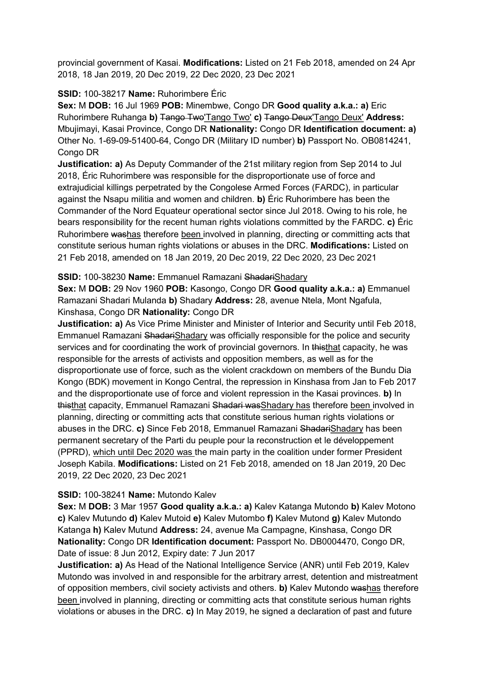provincial government of Kasai. Modifications: Listed on 21 Feb 2018, amended on 24 Apr 2018, 18 Jan 2019, 20 Dec 2019, 22 Dec 2020, 23 Dec 2021

## SSID: 100-38217 Name: Ruhorimbere Éric

Sex: M DOB: 16 Jul 1969 POB: Minembwe, Congo DR Good quality a.k.a.: a) Eric Ruhorimbere Ruhanga b) Tango Two'Tango Two' c) Tango Deux'Tango Deux' Address: Mbujimayi, Kasai Province, Congo DR Nationality: Congo DR Identification document: a) Other No. 1-69-09-51400-64, Congo DR (Military ID number) b) Passport No. OB0814241, Congo DR

**Justification: a)** As Deputy Commander of the 21st military region from Sep 2014 to Jul 2018, Éric Ruhorimbere was responsible for the disproportionate use of force and extrajudicial killings perpetrated by the Congolese Armed Forces (FARDC), in particular against the Nsapu militia and women and children. b) Éric Ruhorimbere has been the Commander of the Nord Equateur operational sector since Jul 2018. Owing to his role, he bears responsibility for the recent human rights violations committed by the FARDC. c) Éric Ruhorimbere washas therefore been involved in planning, directing or committing acts that constitute serious human rights violations or abuses in the DRC. Modifications: Listed on 21 Feb 2018, amended on 18 Jan 2019, 20 Dec 2019, 22 Dec 2020, 23 Dec 2021

## SSID: 100-38230 Name: Emmanuel Ramazani ShadariShadary

Sex: M DOB: 29 Nov 1960 POB: Kasongo, Congo DR Good quality a.k.a.: a) Emmanuel Ramazani Shadari Mulanda b) Shadary Address: 28, avenue Ntela, Mont Ngafula, Kinshasa, Congo DR Nationality: Congo DR

Justification: a) As Vice Prime Minister and Minister of Interior and Security until Feb 2018, Emmanuel Ramazani ShadariShadary was officially responsible for the police and security services and for coordinating the work of provincial governors. In thisthat capacity, he was responsible for the arrests of activists and opposition members, as well as for the disproportionate use of force, such as the violent crackdown on members of the Bundu Dia Kongo (BDK) movement in Kongo Central, the repression in Kinshasa from Jan to Feb 2017 and the disproportionate use of force and violent repression in the Kasai provinces. b) In thisthat capacity, Emmanuel Ramazani Shadari wasShadary has therefore been involved in planning, directing or committing acts that constitute serious human rights violations or abuses in the DRC. c) Since Feb 2018, Emmanuel Ramazani ShadariShadary has been permanent secretary of the Parti du peuple pour la reconstruction et le développement (PPRD), which until Dec 2020 was the main party in the coalition under former President Joseph Kabila. Modifications: Listed on 21 Feb 2018, amended on 18 Jan 2019, 20 Dec 2019, 22 Dec 2020, 23 Dec 2021

### SSID: 100-38241 Name: Mutondo Kalev

Sex: M DOB: 3 Mar 1957 Good quality a.k.a.: a) Kalev Katanga Mutondo b) Kalev Motono c) Kalev Mutundo d) Kalev Mutoid e) Kalev Mutombo f) Kalev Mutond g) Kalev Mutondo Katanga h) Kalev Mutund Address: 24, avenue Ma Campagne, Kinshasa, Congo DR Nationality: Congo DR Identification document: Passport No. DB0004470, Congo DR, Date of issue: 8 Jun 2012, Expiry date: 7 Jun 2017

Justification: a) As Head of the National Intelligence Service (ANR) until Feb 2019, Kalev Mutondo was involved in and responsible for the arbitrary arrest, detention and mistreatment of opposition members, civil society activists and others. b) Kalev Mutondo washas therefore been involved in planning, directing or committing acts that constitute serious human rights violations or abuses in the DRC. c) In May 2019, he signed a declaration of past and future